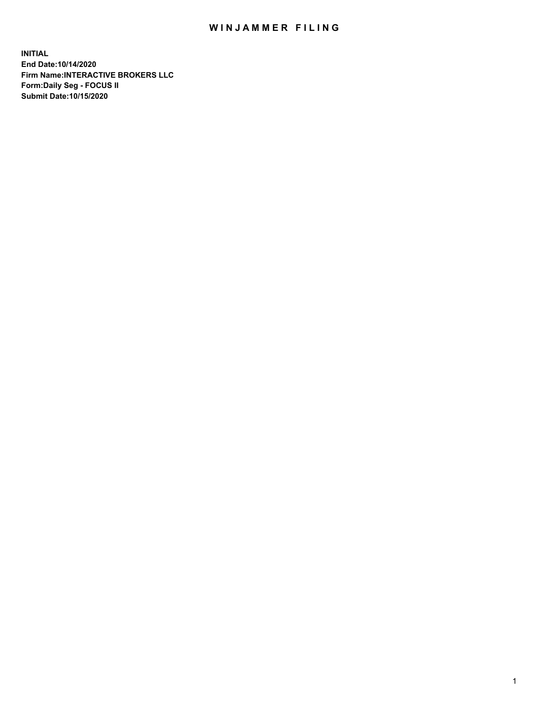## WIN JAMMER FILING

**INITIAL End Date:10/14/2020 Firm Name:INTERACTIVE BROKERS LLC Form:Daily Seg - FOCUS II Submit Date:10/15/2020**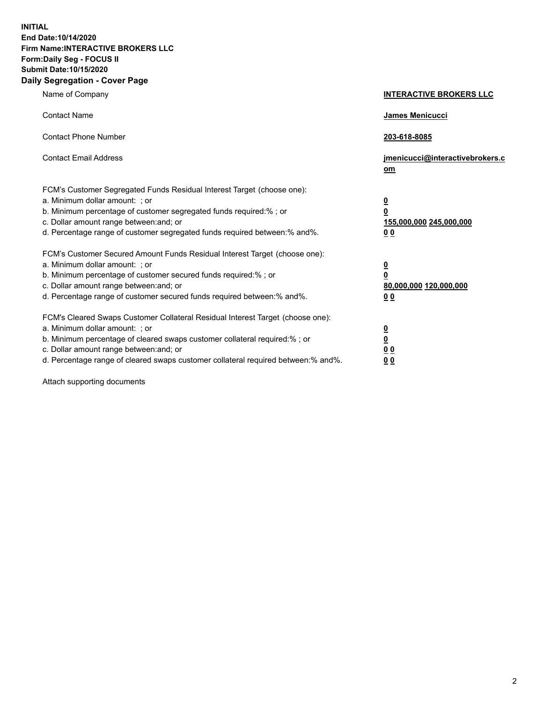**INITIAL End Date:10/14/2020 Firm Name:INTERACTIVE BROKERS LLC Form:Daily Seg - FOCUS II Submit Date:10/15/2020 Daily Segregation - Cover Page**

| Name of Company                                                                                                                                                                                                                                                                                                                | <b>INTERACTIVE BROKERS LLC</b>                                                  |
|--------------------------------------------------------------------------------------------------------------------------------------------------------------------------------------------------------------------------------------------------------------------------------------------------------------------------------|---------------------------------------------------------------------------------|
| <b>Contact Name</b>                                                                                                                                                                                                                                                                                                            | James Menicucci                                                                 |
| <b>Contact Phone Number</b>                                                                                                                                                                                                                                                                                                    | 203-618-8085                                                                    |
| <b>Contact Email Address</b>                                                                                                                                                                                                                                                                                                   | jmenicucci@interactivebrokers.c<br>om                                           |
| FCM's Customer Segregated Funds Residual Interest Target (choose one):<br>a. Minimum dollar amount: ; or<br>b. Minimum percentage of customer segregated funds required:%; or<br>c. Dollar amount range between: and; or<br>d. Percentage range of customer segregated funds required between:% and%.                          | <u>0</u><br>$\overline{\mathbf{0}}$<br>155,000,000 245,000,000<br><u>00</u>     |
| FCM's Customer Secured Amount Funds Residual Interest Target (choose one):<br>a. Minimum dollar amount: ; or<br>b. Minimum percentage of customer secured funds required:% ; or<br>c. Dollar amount range between: and; or<br>d. Percentage range of customer secured funds required between:% and%.                           | <u>0</u><br>$\overline{\mathbf{0}}$<br>80,000,000 120,000,000<br>0 <sub>0</sub> |
| FCM's Cleared Swaps Customer Collateral Residual Interest Target (choose one):<br>a. Minimum dollar amount: ; or<br>b. Minimum percentage of cleared swaps customer collateral required:% ; or<br>c. Dollar amount range between: and; or<br>d. Percentage range of cleared swaps customer collateral required between:% and%. | <u>0</u><br>$\underline{\mathbf{0}}$<br>0 <sub>0</sub><br>0 <sub>0</sub>        |

Attach supporting documents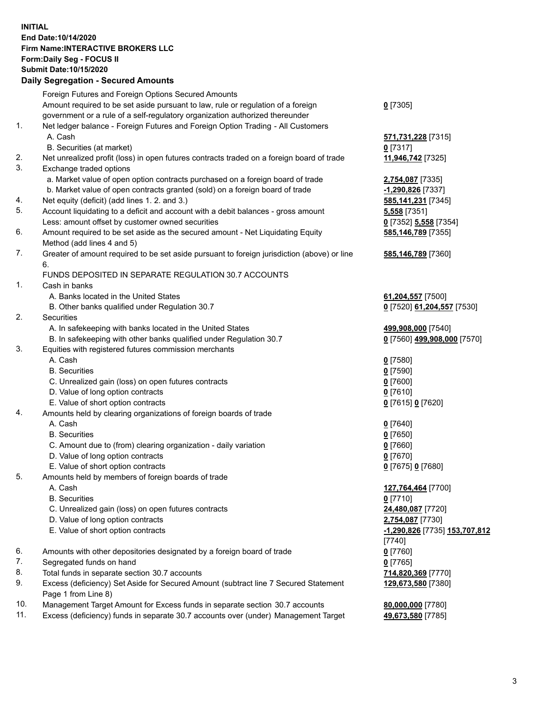**INITIAL End Date:10/14/2020 Firm Name:INTERACTIVE BROKERS LLC Form:Daily Seg - FOCUS II Submit Date:10/15/2020 Daily Segregation - Secured Amounts**

|     | Daily Segregation - Secured Amounts                                                         |                                      |
|-----|---------------------------------------------------------------------------------------------|--------------------------------------|
|     | Foreign Futures and Foreign Options Secured Amounts                                         |                                      |
|     | Amount required to be set aside pursuant to law, rule or regulation of a foreign            | $0$ [7305]                           |
|     | government or a rule of a self-regulatory organization authorized thereunder                |                                      |
| 1.  | Net ledger balance - Foreign Futures and Foreign Option Trading - All Customers             |                                      |
|     | A. Cash                                                                                     | 571,731,228 [7315]                   |
|     | B. Securities (at market)                                                                   | $0$ [7317]                           |
| 2.  | Net unrealized profit (loss) in open futures contracts traded on a foreign board of trade   | 11,946,742 [7325]                    |
| 3.  | Exchange traded options                                                                     |                                      |
|     | a. Market value of open option contracts purchased on a foreign board of trade              | 2,754,087 [7335]                     |
|     | b. Market value of open contracts granted (sold) on a foreign board of trade                | -1,290,826 [7337]                    |
| 4.  | Net equity (deficit) (add lines 1. 2. and 3.)                                               | 585,141,231 [7345]                   |
| 5.  | Account liquidating to a deficit and account with a debit balances - gross amount           | <b>5,558</b> [7351]                  |
|     | Less: amount offset by customer owned securities                                            | 0 [7352] 5,558 [7354]                |
| 6.  | Amount required to be set aside as the secured amount - Net Liquidating Equity              | 585,146,789 [7355]                   |
|     | Method (add lines 4 and 5)                                                                  |                                      |
| 7.  | Greater of amount required to be set aside pursuant to foreign jurisdiction (above) or line | 585,146,789 [7360]                   |
|     | 6.                                                                                          |                                      |
|     | FUNDS DEPOSITED IN SEPARATE REGULATION 30.7 ACCOUNTS                                        |                                      |
| 1.  | Cash in banks                                                                               |                                      |
|     | A. Banks located in the United States                                                       | 61,204,557 [7500]                    |
|     | B. Other banks qualified under Regulation 30.7                                              | 0 [7520] 61,204,557 [7530]           |
| 2.  | Securities                                                                                  |                                      |
|     | A. In safekeeping with banks located in the United States                                   | 499,908,000 [7540]                   |
|     | B. In safekeeping with other banks qualified under Regulation 30.7                          | 0 [7560] 499,908,000 [7570]          |
| 3.  | Equities with registered futures commission merchants                                       |                                      |
|     | A. Cash                                                                                     | $0$ [7580]                           |
|     | <b>B.</b> Securities                                                                        | $0$ [7590]                           |
|     | C. Unrealized gain (loss) on open futures contracts                                         | $0$ [7600]                           |
|     | D. Value of long option contracts                                                           | $0$ [7610]                           |
|     | E. Value of short option contracts                                                          | 0 [7615] 0 [7620]                    |
| 4.  | Amounts held by clearing organizations of foreign boards of trade                           |                                      |
|     | A. Cash                                                                                     | $0$ [7640]                           |
|     | <b>B.</b> Securities                                                                        | $0$ [7650]                           |
|     | C. Amount due to (from) clearing organization - daily variation                             | $0$ [7660]                           |
|     | D. Value of long option contracts                                                           | $0$ [7670]                           |
|     | E. Value of short option contracts                                                          |                                      |
| 5.  |                                                                                             | 0 [7675] 0 [7680]                    |
|     | Amounts held by members of foreign boards of trade                                          | 127,764,464 [7700]                   |
|     | A. Cash<br><b>B.</b> Securities                                                             | $0$ [7710]                           |
|     | C. Unrealized gain (loss) on open futures contracts                                         |                                      |
|     | D. Value of long option contracts                                                           | 24,480,087 [7720]                    |
|     |                                                                                             | 2,754,087 [7730]                     |
|     | E. Value of short option contracts                                                          | <u>-1,290,826</u> [7735] 153,707,812 |
|     |                                                                                             | [7740]                               |
| 6.  | Amounts with other depositories designated by a foreign board of trade                      | $0$ [7760]                           |
| 7.  | Segregated funds on hand                                                                    | $0$ [7765]                           |
| 8.  | Total funds in separate section 30.7 accounts                                               | 714,820,369 [7770]                   |
| 9.  | Excess (deficiency) Set Aside for Secured Amount (subtract line 7 Secured Statement         | 129,673,580 [7380]                   |
|     | Page 1 from Line 8)                                                                         |                                      |
| 10. | Management Target Amount for Excess funds in separate section 30.7 accounts                 | 80,000,000 [7780]                    |
| 11. | Excess (deficiency) funds in separate 30.7 accounts over (under) Management Target          | 49,673,580 [7785]                    |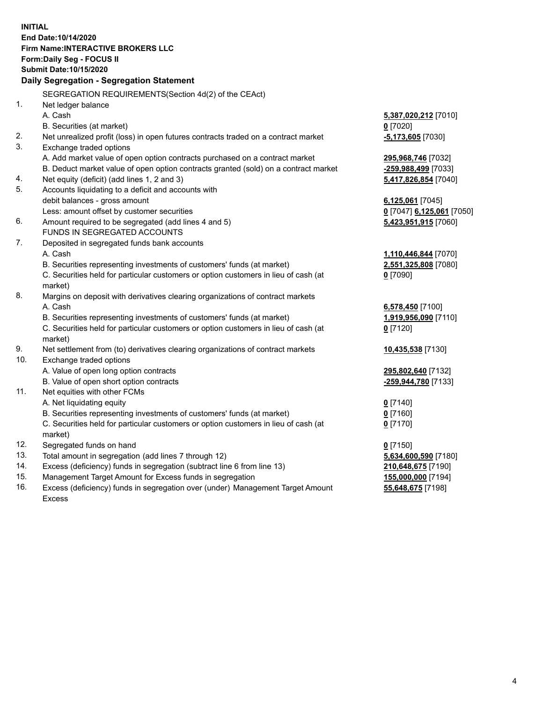**INITIAL End Date:10/14/2020 Firm Name:INTERACTIVE BROKERS LLC Form:Daily Seg - FOCUS II Submit Date:10/15/2020 Daily Segregation - Segregation Statement** SEGREGATION REQUIREMENTS(Section 4d(2) of the CEAct) 1. Net ledger balance A. Cash **5,387,020,212** [7010] B. Securities (at market) **0** [7020] 2. Net unrealized profit (loss) in open futures contracts traded on a contract market **-5,173,605** [7030] 3. Exchange traded options A. Add market value of open option contracts purchased on a contract market **295,968,746** [7032] B. Deduct market value of open option contracts granted (sold) on a contract market **-259,988,499** [7033] 4. Net equity (deficit) (add lines 1, 2 and 3) **5,417,826,854** [7040] 5. Accounts liquidating to a deficit and accounts with debit balances - gross amount **6,125,061** [7045] Less: amount offset by customer securities **0** [7047] **6,125,061** [7050] 6. Amount required to be segregated (add lines 4 and 5) **5,423,951,915** [7060] FUNDS IN SEGREGATED ACCOUNTS 7. Deposited in segregated funds bank accounts A. Cash **1,110,446,844** [7070] B. Securities representing investments of customers' funds (at market) **2,551,325,808** [7080] C. Securities held for particular customers or option customers in lieu of cash (at market) **0** [7090] 8. Margins on deposit with derivatives clearing organizations of contract markets A. Cash **6,578,450** [7100] B. Securities representing investments of customers' funds (at market) **1,919,956,090** [7110] C. Securities held for particular customers or option customers in lieu of cash (at market) **0** [7120] 9. Net settlement from (to) derivatives clearing organizations of contract markets **10,435,538** [7130] 10. Exchange traded options A. Value of open long option contracts **295,802,640** [7132] B. Value of open short option contracts **-259,944,780** [7133] 11. Net equities with other FCMs A. Net liquidating equity **0** [7140] B. Securities representing investments of customers' funds (at market) **0** [7160] C. Securities held for particular customers or option customers in lieu of cash (at market) **0** [7170] 12. Segregated funds on hand **0** [7150] 13. Total amount in segregation (add lines 7 through 12) **5,634,600,590** [7180] 14. Excess (deficiency) funds in segregation (subtract line 6 from line 13) **210,648,675** [7190] 15. Management Target Amount for Excess funds in segregation **155,000,000** [7194]

16. Excess (deficiency) funds in segregation over (under) Management Target Amount Excess

**55,648,675** [7198]